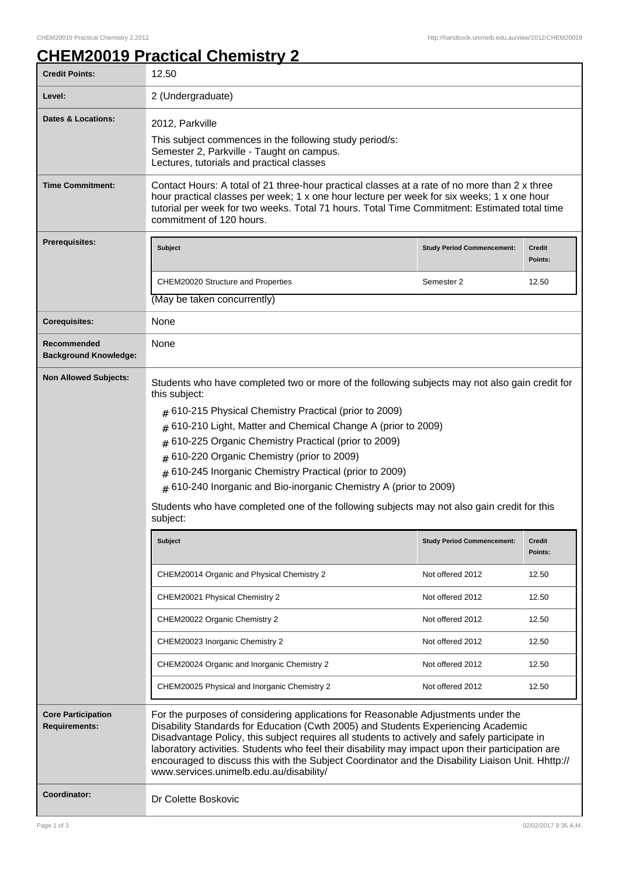## **CHEM20019 Practical Chemistry 2**

| <b>Credit Points:</b>                             | 12.50                                                                                                                                                                                                                                                                                                                                                                                                                                                                                                                        |                                   |                          |
|---------------------------------------------------|------------------------------------------------------------------------------------------------------------------------------------------------------------------------------------------------------------------------------------------------------------------------------------------------------------------------------------------------------------------------------------------------------------------------------------------------------------------------------------------------------------------------------|-----------------------------------|--------------------------|
| Level:                                            | 2 (Undergraduate)                                                                                                                                                                                                                                                                                                                                                                                                                                                                                                            |                                   |                          |
| <b>Dates &amp; Locations:</b>                     | 2012, Parkville<br>This subject commences in the following study period/s:<br>Semester 2, Parkville - Taught on campus.<br>Lectures, tutorials and practical classes                                                                                                                                                                                                                                                                                                                                                         |                                   |                          |
| <b>Time Commitment:</b>                           | Contact Hours: A total of 21 three-hour practical classes at a rate of no more than 2 x three<br>hour practical classes per week; 1 x one hour lecture per week for six weeks; 1 x one hour<br>tutorial per week for two weeks. Total 71 hours. Total Time Commitment: Estimated total time<br>commitment of 120 hours.                                                                                                                                                                                                      |                                   |                          |
| <b>Prerequisites:</b>                             | <b>Subject</b>                                                                                                                                                                                                                                                                                                                                                                                                                                                                                                               | <b>Study Period Commencement:</b> | <b>Credit</b><br>Points: |
|                                                   | CHEM20020 Structure and Properties                                                                                                                                                                                                                                                                                                                                                                                                                                                                                           | Semester 2                        | 12.50                    |
|                                                   | (May be taken concurrently)                                                                                                                                                                                                                                                                                                                                                                                                                                                                                                  |                                   |                          |
| <b>Corequisites:</b>                              | None                                                                                                                                                                                                                                                                                                                                                                                                                                                                                                                         |                                   |                          |
| Recommended<br><b>Background Knowledge:</b>       | None                                                                                                                                                                                                                                                                                                                                                                                                                                                                                                                         |                                   |                          |
| <b>Non Allowed Subjects:</b>                      | Students who have completed two or more of the following subjects may not also gain credit for<br>this subject:                                                                                                                                                                                                                                                                                                                                                                                                              |                                   |                          |
|                                                   | $#$ 610-215 Physical Chemistry Practical (prior to 2009)                                                                                                                                                                                                                                                                                                                                                                                                                                                                     |                                   |                          |
|                                                   | # 610-210 Light, Matter and Chemical Change A (prior to 2009)                                                                                                                                                                                                                                                                                                                                                                                                                                                                |                                   |                          |
|                                                   | # 610-225 Organic Chemistry Practical (prior to 2009)                                                                                                                                                                                                                                                                                                                                                                                                                                                                        |                                   |                          |
|                                                   | # 610-220 Organic Chemistry (prior to 2009)                                                                                                                                                                                                                                                                                                                                                                                                                                                                                  |                                   |                          |
|                                                   | 610-245 Inorganic Chemistry Practical (prior to 2009)                                                                                                                                                                                                                                                                                                                                                                                                                                                                        |                                   |                          |
|                                                   | # 610-240 Inorganic and Bio-inorganic Chemistry A (prior to 2009)                                                                                                                                                                                                                                                                                                                                                                                                                                                            |                                   |                          |
|                                                   | Students who have completed one of the following subjects may not also gain credit for this<br>subject:                                                                                                                                                                                                                                                                                                                                                                                                                      |                                   |                          |
|                                                   | <b>Subject</b>                                                                                                                                                                                                                                                                                                                                                                                                                                                                                                               | <b>Study Period Commencement:</b> | <b>Credit</b><br>Points: |
|                                                   | CHEM20014 Organic and Physical Chemistry 2                                                                                                                                                                                                                                                                                                                                                                                                                                                                                   | Not offered 2012                  | 12.50                    |
|                                                   | CHEM20021 Physical Chemistry 2                                                                                                                                                                                                                                                                                                                                                                                                                                                                                               | Not offered 2012                  | 12.50                    |
|                                                   | CHEM20022 Organic Chemistry 2                                                                                                                                                                                                                                                                                                                                                                                                                                                                                                | Not offered 2012                  | 12.50                    |
|                                                   | CHEM20023 Inorganic Chemistry 2                                                                                                                                                                                                                                                                                                                                                                                                                                                                                              | Not offered 2012                  | 12.50                    |
|                                                   | CHEM20024 Organic and Inorganic Chemistry 2                                                                                                                                                                                                                                                                                                                                                                                                                                                                                  | Not offered 2012                  | 12.50                    |
|                                                   | CHEM20025 Physical and Inorganic Chemistry 2                                                                                                                                                                                                                                                                                                                                                                                                                                                                                 | Not offered 2012                  | 12.50                    |
| <b>Core Participation</b><br><b>Requirements:</b> | For the purposes of considering applications for Reasonable Adjustments under the<br>Disability Standards for Education (Cwth 2005) and Students Experiencing Academic<br>Disadvantage Policy, this subject requires all students to actively and safely participate in<br>laboratory activities. Students who feel their disability may impact upon their participation are<br>encouraged to discuss this with the Subject Coordinator and the Disability Liaison Unit. Hhttp://<br>www.services.unimelb.edu.au/disability/ |                                   |                          |
| Coordinator:                                      | Dr Colette Boskovic                                                                                                                                                                                                                                                                                                                                                                                                                                                                                                          |                                   |                          |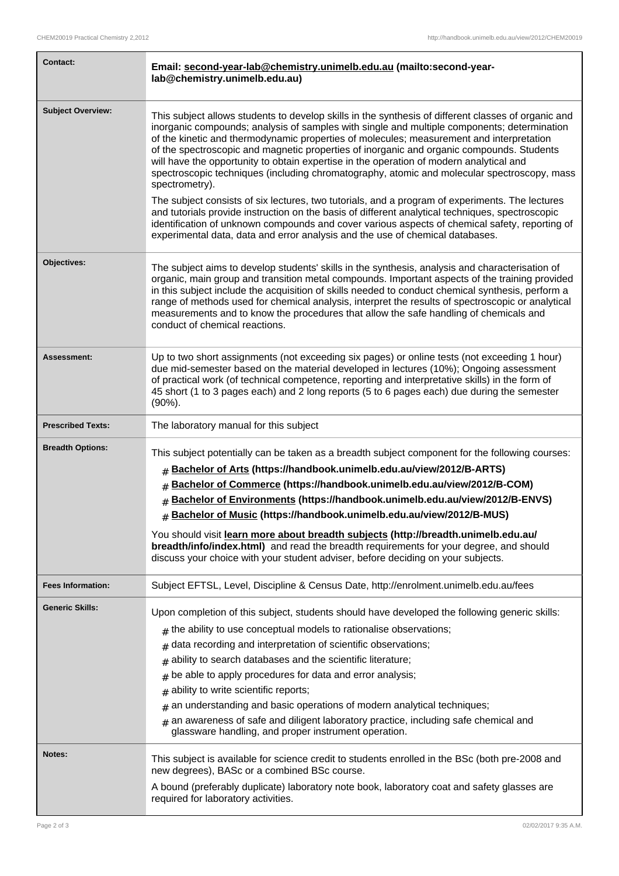| <b>Contact:</b>          | Email: second-year-lab@chemistry.unimelb.edu.au (mailto:second-year-<br>lab@chemistry.unimelb.edu.au)                                                                                                                                                                                                                                                                                                                                                                                                                                                                                                                                                          |  |
|--------------------------|----------------------------------------------------------------------------------------------------------------------------------------------------------------------------------------------------------------------------------------------------------------------------------------------------------------------------------------------------------------------------------------------------------------------------------------------------------------------------------------------------------------------------------------------------------------------------------------------------------------------------------------------------------------|--|
| <b>Subject Overview:</b> | This subject allows students to develop skills in the synthesis of different classes of organic and<br>inorganic compounds; analysis of samples with single and multiple components; determination<br>of the kinetic and thermodynamic properties of molecules; measurement and interpretation<br>of the spectroscopic and magnetic properties of inorganic and organic compounds. Students<br>will have the opportunity to obtain expertise in the operation of modern analytical and<br>spectroscopic techniques (including chromatography, atomic and molecular spectroscopy, mass<br>spectrometry).                                                        |  |
|                          | The subject consists of six lectures, two tutorials, and a program of experiments. The lectures<br>and tutorials provide instruction on the basis of different analytical techniques, spectroscopic<br>identification of unknown compounds and cover various aspects of chemical safety, reporting of<br>experimental data, data and error analysis and the use of chemical databases.                                                                                                                                                                                                                                                                         |  |
| Objectives:              | The subject aims to develop students' skills in the synthesis, analysis and characterisation of<br>organic, main group and transition metal compounds. Important aspects of the training provided<br>in this subject include the acquisition of skills needed to conduct chemical synthesis, perform a<br>range of methods used for chemical analysis, interpret the results of spectroscopic or analytical<br>measurements and to know the procedures that allow the safe handling of chemicals and<br>conduct of chemical reactions.                                                                                                                         |  |
| <b>Assessment:</b>       | Up to two short assignments (not exceeding six pages) or online tests (not exceeding 1 hour)<br>due mid-semester based on the material developed in lectures (10%); Ongoing assessment<br>of practical work (of technical competence, reporting and interpretative skills) in the form of<br>45 short (1 to 3 pages each) and 2 long reports (5 to 6 pages each) due during the semester<br>$(90\%)$ .                                                                                                                                                                                                                                                         |  |
| <b>Prescribed Texts:</b> | The laboratory manual for this subject                                                                                                                                                                                                                                                                                                                                                                                                                                                                                                                                                                                                                         |  |
| <b>Breadth Options:</b>  | This subject potentially can be taken as a breadth subject component for the following courses:<br># Bachelor of Arts (https://handbook.unimelb.edu.au/view/2012/B-ARTS)<br>Bachelor of Commerce (https://handbook.unimelb.edu.au/view/2012/B-COM)<br>#<br><b># Bachelor of Environments (https://handbook.unimelb.edu.au/view/2012/B-ENVS)</b><br># Bachelor of Music (https://handbook.unimelb.edu.au/view/2012/B-MUS)                                                                                                                                                                                                                                       |  |
|                          | You should visit learn more about breadth subjects (http://breadth.unimelb.edu.au/<br>breadth/info/index.html) and read the breadth requirements for your degree, and should<br>discuss your choice with your student adviser, before deciding on your subjects.                                                                                                                                                                                                                                                                                                                                                                                               |  |
| <b>Fees Information:</b> | Subject EFTSL, Level, Discipline & Census Date, http://enrolment.unimelb.edu.au/fees                                                                                                                                                                                                                                                                                                                                                                                                                                                                                                                                                                           |  |
| <b>Generic Skills:</b>   | Upon completion of this subject, students should have developed the following generic skills:<br>$#$ the ability to use conceptual models to rationalise observations;<br>data recording and interpretation of scientific observations;<br>#<br>ability to search databases and the scientific literature;<br>#<br>be able to apply procedures for data and error analysis;<br>#<br>ability to write scientific reports;<br>#<br>an understanding and basic operations of modern analytical techniques;<br>#<br>$*$ an awareness of safe and diligent laboratory practice, including safe chemical and<br>glassware handling, and proper instrument operation. |  |
| Notes:                   | This subject is available for science credit to students enrolled in the BSc (both pre-2008 and<br>new degrees), BASc or a combined BSc course.<br>A bound (preferably duplicate) laboratory note book, laboratory coat and safety glasses are<br>required for laboratory activities.                                                                                                                                                                                                                                                                                                                                                                          |  |